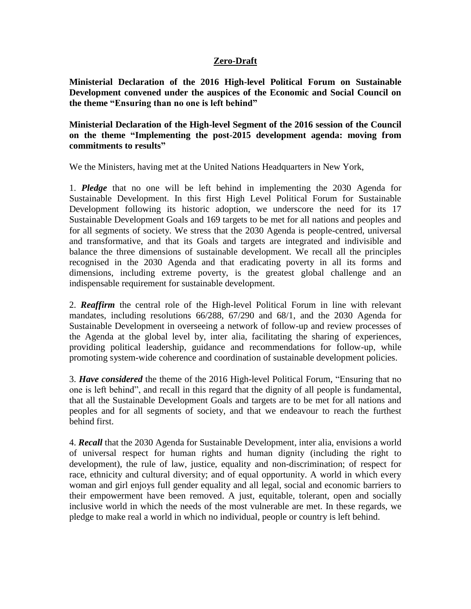# **Zero-Draft**

**Ministerial Declaration of the 2016 High-level Political Forum on Sustainable Development convened under the auspices of the Economic and Social Council on the theme "Ensuring than no one is left behind"**

**Ministerial Declaration of the High-level Segment of the 2016 session of the Council on the theme "Implementing the post-2015 development agenda: moving from commitments to results"**

We the Ministers, having met at the United Nations Headquarters in New York,

1. *Pledge* that no one will be left behind in implementing the 2030 Agenda for Sustainable Development. In this first High Level Political Forum for Sustainable Development following its historic adoption, we underscore the need for its 17 Sustainable Development Goals and 169 targets to be met for all nations and peoples and for all segments of society. We stress that the 2030 Agenda is people-centred, universal and transformative, and that its Goals and targets are integrated and indivisible and balance the three dimensions of sustainable development. We recall all the principles recognised in the 2030 Agenda and that eradicating poverty in all its forms and dimensions, including extreme poverty, is the greatest global challenge and an indispensable requirement for sustainable development.

2. *Reaffirm* the central role of the High-level Political Forum in line with relevant mandates, including resolutions 66/288, 67/290 and 68/1, and the 2030 Agenda for Sustainable Development in overseeing a network of follow-up and review processes of the Agenda at the global level by, inter alia, facilitating the sharing of experiences, providing political leadership, guidance and recommendations for follow-up, while promoting system-wide coherence and coordination of sustainable development policies.

3. *Have considered* the theme of the 2016 High-level Political Forum, "Ensuring that no one is left behind", and recall in this regard that the dignity of all people is fundamental, that all the Sustainable Development Goals and targets are to be met for all nations and peoples and for all segments of society, and that we endeavour to reach the furthest behind first.

4. *Recall* that the 2030 Agenda for Sustainable Development, inter alia, envisions a world of universal respect for human rights and human dignity (including the right to development), the rule of law, justice, equality and non-discrimination; of respect for race, ethnicity and cultural diversity; and of equal opportunity. A world in which every woman and girl enjoys full gender equality and all legal, social and economic barriers to their empowerment have been removed. A just, equitable, tolerant, open and socially inclusive world in which the needs of the most vulnerable are met. In these regards, we pledge to make real a world in which no individual, people or country is left behind.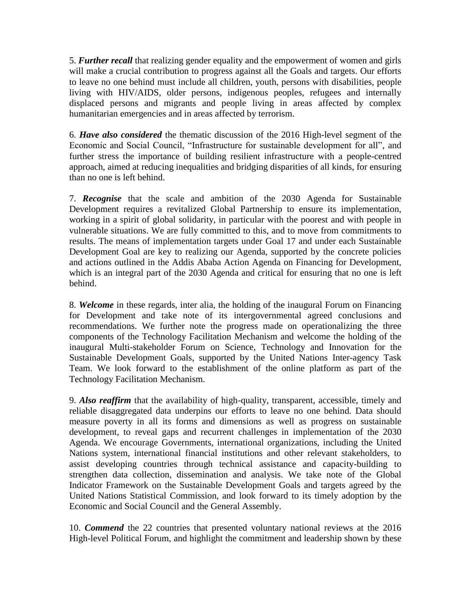5. *Further recall* that realizing gender equality and the empowerment of women and girls will make a crucial contribution to progress against all the Goals and targets. Our efforts to leave no one behind must include all children, youth, persons with disabilities, people living with HIV/AIDS, older persons, indigenous peoples, refugees and internally displaced persons and migrants and people living in areas affected by complex humanitarian emergencies and in areas affected by terrorism.

6. *Have also considered* the thematic discussion of the 2016 High-level segment of the Economic and Social Council, "Infrastructure for sustainable development for all", and further stress the importance of building resilient infrastructure with a people-centred approach, aimed at reducing inequalities and bridging disparities of all kinds, for ensuring than no one is left behind.

7. *Recognise* that the scale and ambition of the 2030 Agenda for Sustainable Development requires a revitalized Global Partnership to ensure its implementation, working in a spirit of global solidarity, in particular with the poorest and with people in vulnerable situations. We are fully committed to this, and to move from commitments to results. The means of implementation targets under Goal 17 and under each Sustainable Development Goal are key to realizing our Agenda, supported by the concrete policies and actions outlined in the Addis Ababa Action Agenda on Financing for Development, which is an integral part of the 2030 Agenda and critical for ensuring that no one is left behind.

8. *Welcome* in these regards, inter alia, the holding of the inaugural Forum on Financing for Development and take note of its intergovernmental agreed conclusions and recommendations. We further note the progress made on operationalizing the three components of the Technology Facilitation Mechanism and welcome the holding of the inaugural Multi-stakeholder Forum on Science, Technology and Innovation for the Sustainable Development Goals, supported by the United Nations Inter-agency Task Team. We look forward to the establishment of the online platform as part of the Technology Facilitation Mechanism.

9. *Also reaffirm* that the availability of high-quality, transparent, accessible, timely and reliable disaggregated data underpins our efforts to leave no one behind. Data should measure poverty in all its forms and dimensions as well as progress on sustainable development, to reveal gaps and recurrent challenges in implementation of the 2030 Agenda. We encourage Governments, international organizations, including the United Nations system, international financial institutions and other relevant stakeholders, to assist developing countries through technical assistance and capacity-building to strengthen data collection, dissemination and analysis. We take note of the Global Indicator Framework on the Sustainable Development Goals and targets agreed by the United Nations Statistical Commission, and look forward to its timely adoption by the Economic and Social Council and the General Assembly.

10. *Commend* the 22 countries that presented voluntary national reviews at the 2016 High-level Political Forum, and highlight the commitment and leadership shown by these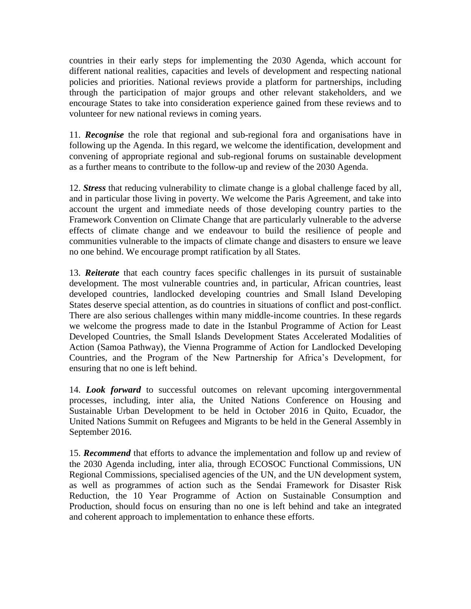countries in their early steps for implementing the 2030 Agenda, which account for different national realities, capacities and levels of development and respecting national policies and priorities. National reviews provide a platform for partnerships, including through the participation of major groups and other relevant stakeholders, and we encourage States to take into consideration experience gained from these reviews and to volunteer for new national reviews in coming years.

11. *Recognise* the role that regional and sub-regional fora and organisations have in following up the Agenda. In this regard, we welcome the identification, development and convening of appropriate regional and sub-regional forums on sustainable development as a further means to contribute to the follow-up and review of the 2030 Agenda.

12. *Stress* that reducing vulnerability to climate change is a global challenge faced by all, and in particular those living in poverty. We welcome the Paris Agreement, and take into account the urgent and immediate needs of those developing country parties to the Framework Convention on Climate Change that are particularly vulnerable to the adverse effects of climate change and we endeavour to build the resilience of people and communities vulnerable to the impacts of climate change and disasters to ensure we leave no one behind. We encourage prompt ratification by all States.

13. *Reiterate* that each country faces specific challenges in its pursuit of sustainable development. The most vulnerable countries and, in particular, African countries, least developed countries, landlocked developing countries and Small Island Developing States deserve special attention, as do countries in situations of conflict and post-conflict. There are also serious challenges within many middle-income countries. In these regards we welcome the progress made to date in the Istanbul Programme of Action for Least Developed Countries, the Small Islands Development States Accelerated Modalities of Action (Samoa Pathway), the Vienna Programme of Action for Landlocked Developing Countries, and the Program of the New Partnership for Africa's Development, for ensuring that no one is left behind.

14. *Look forward* to successful outcomes on relevant upcoming intergovernmental processes, including, inter alia, the United Nations Conference on Housing and Sustainable Urban Development to be held in October 2016 in Quito, Ecuador, the United Nations Summit on Refugees and Migrants to be held in the General Assembly in September 2016.

15. *Recommend* that efforts to advance the implementation and follow up and review of the 2030 Agenda including, inter alia, through ECOSOC Functional Commissions, UN Regional Commissions, specialised agencies of the UN, and the UN development system, as well as programmes of action such as the Sendai Framework for Disaster Risk Reduction, the 10 Year Programme of Action on Sustainable Consumption and Production, should focus on ensuring than no one is left behind and take an integrated and coherent approach to implementation to enhance these efforts.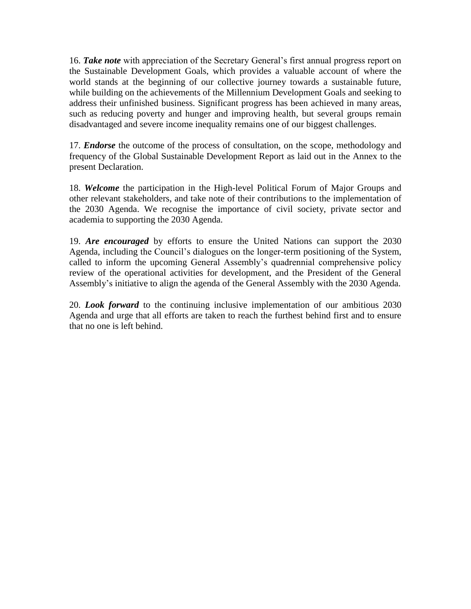16. *Take note* with appreciation of the Secretary General's first annual progress report on the Sustainable Development Goals, which provides a valuable account of where the world stands at the beginning of our collective journey towards a sustainable future, while building on the achievements of the Millennium Development Goals and seeking to address their unfinished business. Significant progress has been achieved in many areas, such as reducing poverty and hunger and improving health, but several groups remain disadvantaged and severe income inequality remains one of our biggest challenges.

17. *Endorse* the outcome of the process of consultation, on the scope, methodology and frequency of the Global Sustainable Development Report as laid out in the Annex to the present Declaration.

18. *Welcome* the participation in the High-level Political Forum of Major Groups and other relevant stakeholders, and take note of their contributions to the implementation of the 2030 Agenda. We recognise the importance of civil society, private sector and academia to supporting the 2030 Agenda.

19. *Are encouraged* by efforts to ensure the United Nations can support the 2030 Agenda, including the Council's dialogues on the longer-term positioning of the System, called to inform the upcoming General Assembly's quadrennial comprehensive policy review of the operational activities for development, and the President of the General Assembly's initiative to align the agenda of the General Assembly with the 2030 Agenda.

20. *Look forward* to the continuing inclusive implementation of our ambitious 2030 Agenda and urge that all efforts are taken to reach the furthest behind first and to ensure that no one is left behind.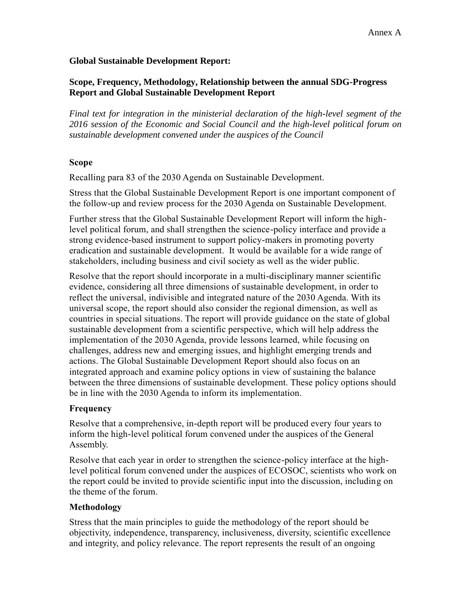#### **Global Sustainable Development Report:**

## **Scope, Frequency, Methodology, Relationship between the annual SDG-Progress Report and Global Sustainable Development Report**

*Final text for integration in the ministerial declaration of the high-level segment of the 2016 session of the Economic and Social Council and the high-level political forum on sustainable development convened under the auspices of the Council*

#### **Scope**

Recalling para 83 of the 2030 Agenda on Sustainable Development.

Stress that the Global Sustainable Development Report is one important component of the follow-up and review process for the 2030 Agenda on Sustainable Development.

Further stress that the Global Sustainable Development Report will inform the highlevel political forum, and shall strengthen the science-policy interface and provide a strong evidence-based instrument to support policy-makers in promoting poverty eradication and sustainable development. It would be available for a wide range of stakeholders, including business and civil society as well as the wider public.

Resolve that the report should incorporate in a multi-disciplinary manner scientific evidence, considering all three dimensions of sustainable development, in order to reflect the universal, indivisible and integrated nature of the 2030 Agenda. With its universal scope, the report should also consider the regional dimension, as well as countries in special situations. The report will provide guidance on the state of global sustainable development from a scientific perspective, which will help address the implementation of the 2030 Agenda, provide lessons learned, while focusing on challenges, address new and emerging issues, and highlight emerging trends and actions. The Global Sustainable Development Report should also focus on an integrated approach and examine policy options in view of sustaining the balance between the three dimensions of sustainable development. These policy options should be in line with the 2030 Agenda to inform its implementation.

# **Frequency**

Resolve that a comprehensive, in-depth report will be produced every four years to inform the high-level political forum convened under the auspices of the General Assembly.

Resolve that each year in order to strengthen the science-policy interface at the highlevel political forum convened under the auspices of ECOSOC, scientists who work on the report could be invited to provide scientific input into the discussion, including on the theme of the forum.

# **Methodology**

Stress that the main principles to guide the methodology of the report should be objectivity, independence, transparency, inclusiveness, diversity, scientific excellence and integrity, and policy relevance. The report represents the result of an ongoing